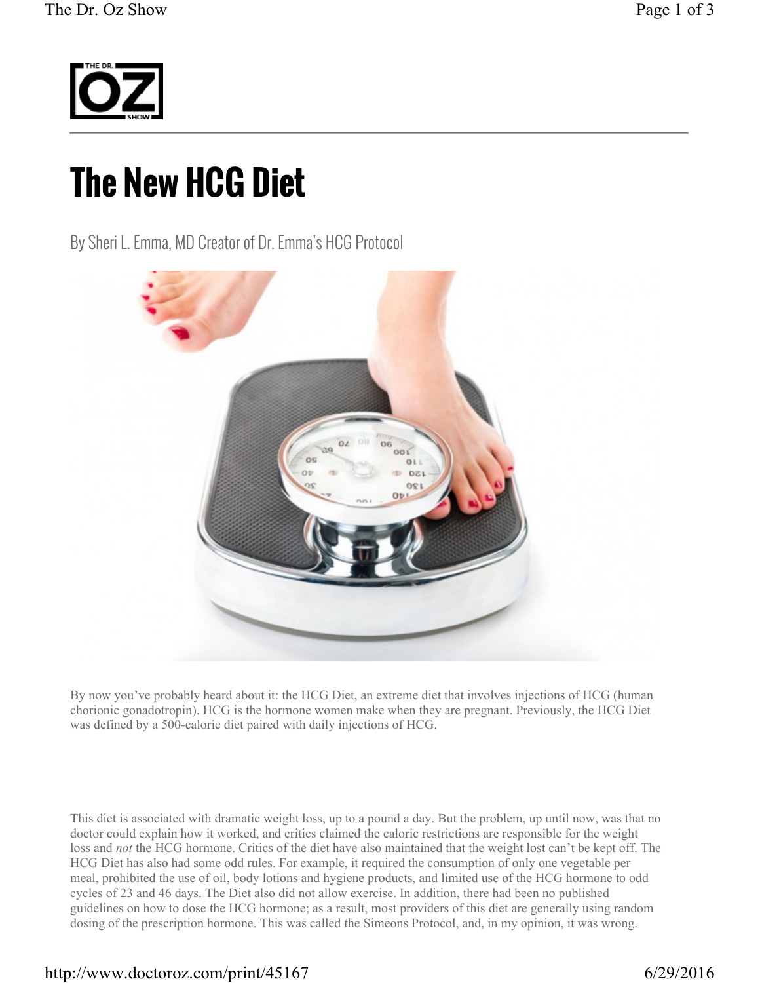

## **The New HCG Diet**

By Sheri L. Emma, MD Creator of Dr. Emma's HCG Protocol



By now you've probably heard about it: the HCG Diet, an extreme diet that involves injections of HCG (human chorionic gonadotropin). HCG is the hormone women make when they are pregnant. Previously, the HCG Diet was defined by a 500-calorie diet paired with daily injections of HCG.

This diet is associated with dramatic weight loss, up to a pound a day. But the problem, up until now, was that no doctor could explain how it worked, and critics claimed the caloric restrictions are responsible for the weight loss and *not* the HCG hormone. Critics of the diet have also maintained that the weight lost can't be kept off. The HCG Diet has also had some odd rules. For example, it required the consumption of only one vegetable per meal, prohibited the use of oil, body lotions and hygiene products, and limited use of the HCG hormone to odd cycles of 23 and 46 days. The Diet also did not allow exercise. In addition, there had been no published guidelines on how to dose the HCG hormone; as a result, most providers of this diet are generally using random dosing of the prescription hormone. This was called the Simeons Protocol, and, in my opinion, it was wrong.

## http://www.doctoroz.com/print/45167 6/29/2016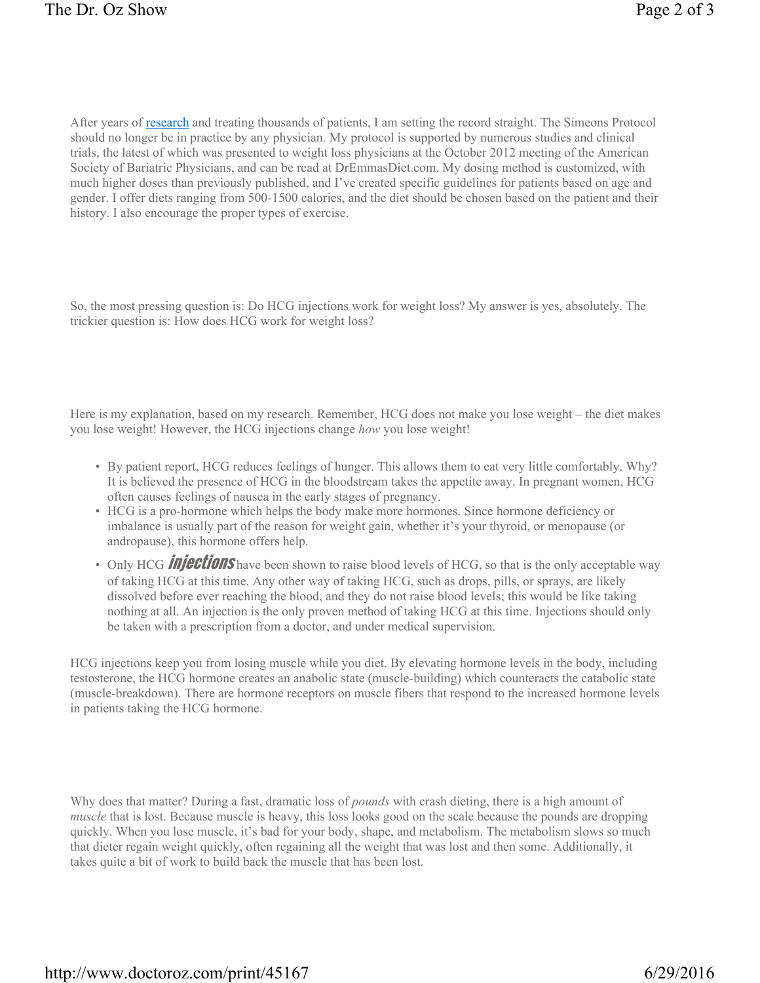After years of research and treating thousands of patients, I am setting the record straight. The Simeons Protocol should no longer be in practice by any physician. My protocol is supported by numerous studies and clinical trials, the latest of which was presented to weight loss physicians at the October 2012 meeting of the American Society of Bariatric Physicians, and can be read at DrEmmasDiet.com. My dosing method is customized, with much higher doses than previously published, and I've created specific guidelines for patients based on age and gender. I offer diets ranging from 500-1500 calories, and the diet should be chosen based on the patient and their history. I also encourage the proper types of exercise.

So, the most pressing question is: Do HCG injections work for weight loss? My answer is yes, absolutely. The trickier question is: How does HCG work for weight loss?

Here is my explanation, based on my research. Remember, HCG does not make you lose weight – the diet makes you lose weight! However, the HCG injections change *how* you lose weight!

- By patient report, HCG reduces feelings of hunger. This allows them to eat very little comfortably. Why? It is believed the presence of HCG in the bloodstream takes the appetite away. In pregnant women, HCG often causes feelings of nausea in the early stages of pregnancy.
- HCG is a pro-hormone which helps the body make more hormones. Since hormone deficiency or imbalance is usually part of the reason for weight gain, whether it's your thyroid, or menopause (or andropause), this hormone offers help.
- Only HCG **injections** have been shown to raise blood levels of HCG, so that is the only acceptable way of taking HCG at this time. Any other way of taking HCG, such as drops, pills, or sprays, are likely dissolved before ever reaching the blood, and they do not raise blood levels; this would be like taking nothing at all. An injection is the only proven method of taking HCG at this time. Injections should only be taken with a prescription from a doctor, and under medical supervision.

HCG injections keep you from losing muscle while you diet. By elevating hormone levels in the body, including testosterone, the HCG hormone creates an anabolic state (muscle-building) which counteracts the catabolic state (muscle-breakdown). There are hormone receptors on muscle fibers that respond to the increased hormone levels in patients taking the HCG hormone.

Why does that matter? During a fast, dramatic loss of *pounds* with crash dieting, there is a high amount of *muscle* that is lost. Because muscle is heavy, this loss looks good on the scale because the pounds are dropping quickly. When you lose muscle, it's bad for your body, shape, and metabolism. The metabolism slows so much that dieter regain weight quickly, often regaining all the weight that was lost and then some. Additionally, it takes quite a bit of work to build back the muscle that has been lost.